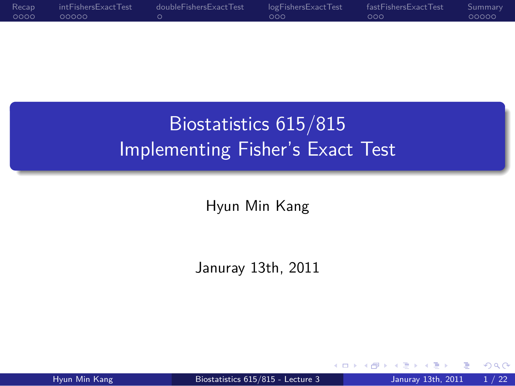$\circ \circ \circ$ Recap intFishersExactTest<br>00000 . doubleFishersExactTest  $\circ \circ \circ$  $\circ \circ \circ$ fastFishersExactTest Summary<br>00000

> Biostatistics 615/815 Implementing Fisher's Exact Test

.

Hyun Min Kang

.. .

Januray 13th, 2011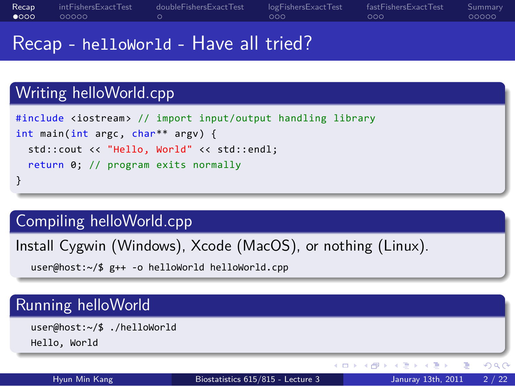#### Recap<br> $\bullet$ 000 intFishersExactTest<br>00000 . doubleFishersExactTest logFishersExactTest<br>000 fastFishersExactTest<br>000 Summary<br>00000

.. .

Recap - helloWorld - Have all tried?

# Writing helloWorld.cpp

```
.
}
#include <iostream> // import input/output handling library
int main(int argc, char** argv) {
 std::cout << "Hello, World" << std::endl;
 return 0; // program exits normally
```
# Compiling helloWorld.cpp

Install Cygwin (Windows), Xcode (MacOS), or nothing (Linux).

 $\Box$   $\rightarrow$   $\land$   $\Box$   $\rightarrow$   $\land$   $\equiv$   $\rightarrow$   $\land$   $\equiv$   $\rightarrow$   $\land$   $\Diamond$   $\Diamond$ 

.. . user@host:~/\$ g++ -o helloWorld helloWorld.cpp

# Running helloWorld

.. . user@host:~/\$ ./helloWorld Hello, World

Hyun Min Kang Biostatistics 615/815 - Lecture 3 Januray 13th, 2011 2 / 22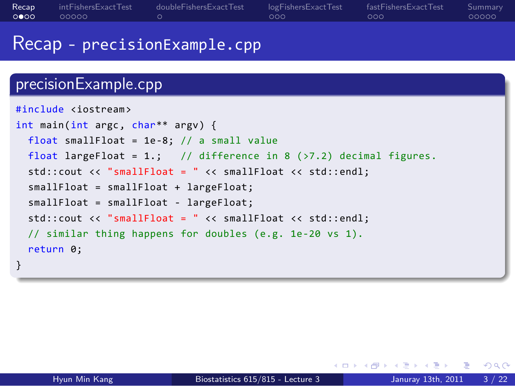### Recap<br>0000 intFisher<br>00000 . doubleFishersExactTest logFishersExactTest<br>000 fastFishersExactTest<br>000 Summary<br>00000 Recap - precisionExample.cpp

# precisionExample.cpp

```
.
}
.. .
#include <iostream>
int main(int argc, char** argv) {
 float smallFloat = 1e-8; // a small value
 float largeFloat = 1.; // difference in 8 (>7.2) decimal figures.
 std::cout << "smallFloat = " << smallFloat << std::endl;
 smallFloat = smallFloat + largeFloat;
 smallFloat = smallFloat - largeFloat;
 std::cout << "smallFloat = " << smallFloat << std::endl;
 // similar thing happens for doubles (e.g. 1e-20 vs 1).
 return 0;
```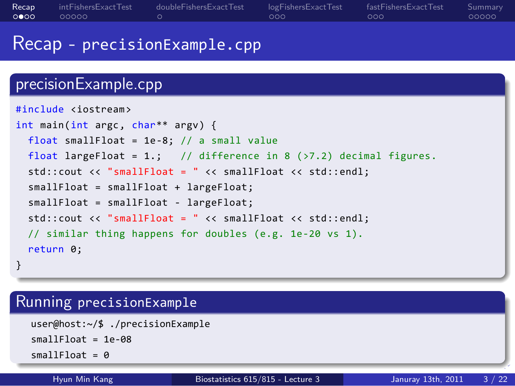# Recap - precisionExample.cpp precisionExample.cpp

logFishersExactTest<br>000

. doubleFishersExactTest

```
.
}
#include <iostream>
int main(int argc, char** argv) {
 float smallFloat = 1e-8; // a small value
 float largeFloat = 1.; // difference in 8 (>7.2) decimal figures.
 std::cout << "smallFloat = " << smallFloat << std::endl;
 smallFloat = smallFloat + largeFloat;
 smallFloat = smallFloat - largeFloat;
 std::cout << "smallFloat = " << smallFloat << std::endl;
 // similar thing happens for doubles (e.g. 1e-20 vs 1).
 return 0;
```
.. .

# Running precisionExample

Recap<br>0000

intFisher<br>00000

```
.. .
 user@host:~/$ ./precisionExample
 smallFloat = 1e-08
 smallFloat = 0
```
. . . . . .

fastFishersExactTest<br>000

Summary<br>00000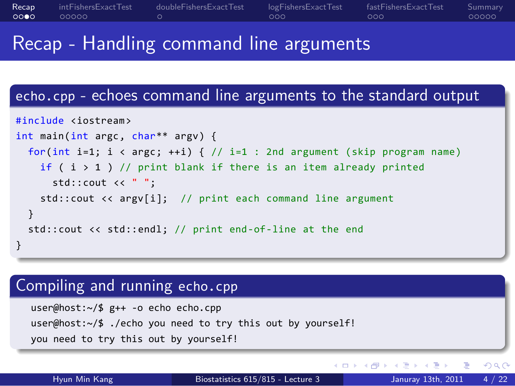#### Recap<br>0000 intFisher<br>00000 . doubleFishersExactTest logFishersExactTest<br>000 fastFishersExactTest<br>000 Summary<br>00000

## Recap - Handling command line arguments

# echo.cpp - echoes command line arguments to the standard output

```
.
}
.. .
#include <iostream>
int main(int argc, char** argv) {
 for(int i=1; i < argc; ++i) { // i=1 : 2nd argument (skip program name)
   if ( i > 1 ) // print blank if there is an item already printed
    std::cout << " ";
   std::cout << argv[i]; // print each command line argument
 }
 std::cout << std::endl; // print end-of-line at the end
```
# Compiling and running echo.cpp

.. . user@host:~/\$ g++ -o echo echo.cpp user@host:~/\$ ./echo you need to try this out by yourself! you need to try this out by yourself!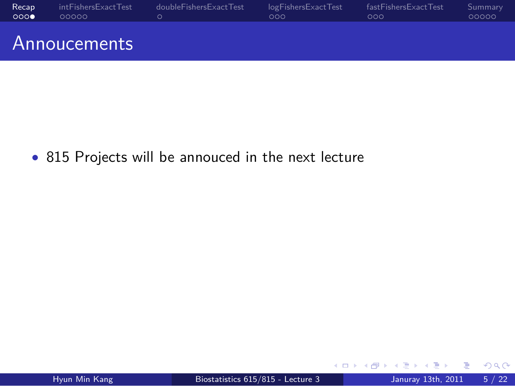

*•* 815 Projects will be annouced in the next lecture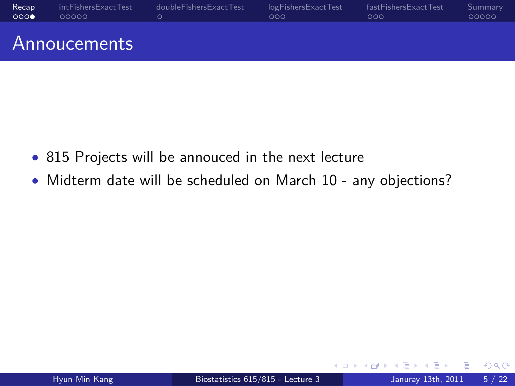#### Recap<br>000**0** intFishersExactTest<br>00000 . doubleFishersExactTest logFishersExactTest<br>000 fastFishersExactTest<br>000 Summary<br>00000 Annoucements

- *•* 815 Projects will be annouced in the next lecture
- *•* Midterm date will be scheduled on March 10 any objections?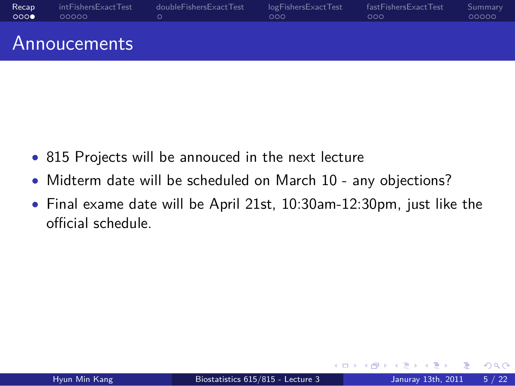#### Recap<br>000**0** intFishersExactTest<br>00000  $\frac{1}{\alpha}$ doubleFishersExactTest logFishersExactTest<br>000 fastFishersExactTest<br>000 Summary<br>00000 Annoucements

- *•* 815 Projects will be annouced in the next lecture
- *•* Midterm date will be scheduled on March 10 any objections?
- *•* Final exame date will be April 21st, 10:30am-12:30pm, just like the official schedule.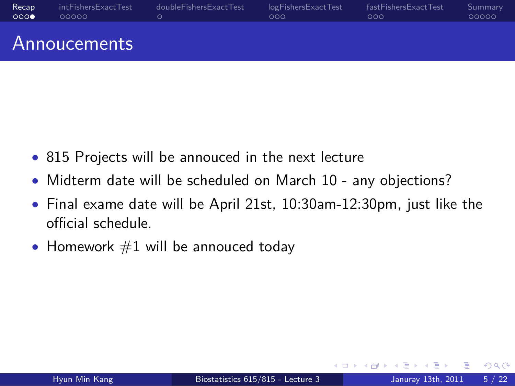#### Recap<br>000**0** intFishersExactTest<br>00000 . doubleFishersExactTest logFishersExactTest<br>000 fastFishersExactTest<br>000 Summary<br>00000 Annoucements

- *•* 815 Projects will be annouced in the next lecture
- *•* Midterm date will be scheduled on March 10 any objections?
- *•* Final exame date will be April 21st, 10:30am-12:30pm, just like the official schedule.
- Homework #1 will be annouced today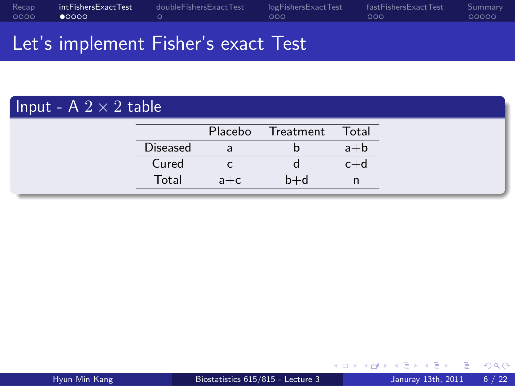#### Recap<br>0000 intFishersExactTest<br>●0000 . doubleFishersExactTest logFishersExactTest<br>000 fastFishersExactTest<br>000 Summary<br>00000

Let's implement Fisher's exact Test

# $\boxed{\mathsf{Input} \cdot \mathsf{A} \ 2 \times 2 \ \mathsf{table}}$

|                 |         | Placebo Treatment | Total   |
|-----------------|---------|-------------------|---------|
| <b>Diseased</b> | a       |                   | $a+b$   |
| Cured           |         |                   | $c + c$ |
| Total           | $a + c$ | $b+d$             |         |
|                 |         |                   |         |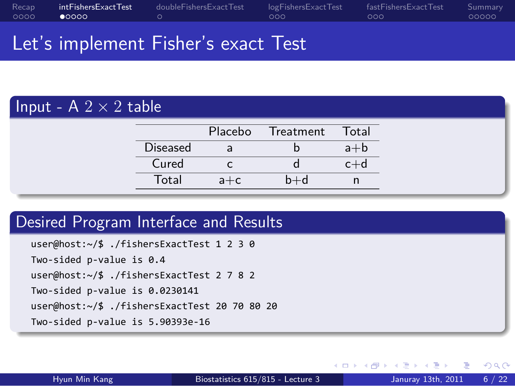#### Recap<br>0000 intFishersExactTest<br>●0000 . doubleFishersExactTest logFishersExactTest<br>000 fastFishersExactTest<br>000 Summary<br>00000

## Let's implement Fisher's exact Test

# $\boxed{\mathsf{Input} \cdot \mathsf{A} \ 2 \times 2 \ \mathsf{table}}$

|                 |         | Placebo Treatment Total |         |
|-----------------|---------|-------------------------|---------|
| <b>Diseased</b> | a       |                         | $a+b$   |
| Cured           |         |                         | $c + c$ |
| Total           | $a + c$ | b+d                     |         |
|                 |         |                         |         |

# Desired Program Interface and Results

.. . user@host:~/\$ ./fishersExactTest 1 2 3 0 Two-sided p-value is 0.4 user@host:~/\$ ./fishersExactTest 2 7 8 2 Two-sided p-value is 0.0230141 user@host:~/\$ ./fishersExactTest 20 70 80 20 Two-sided p-value is 5.90393e-16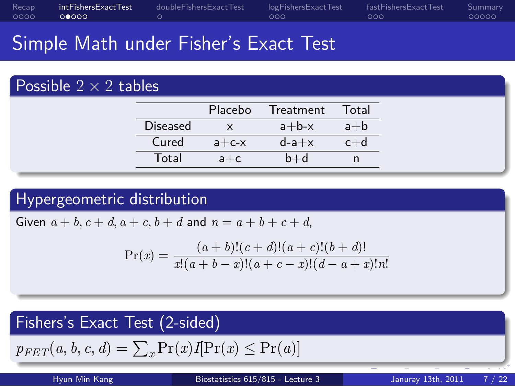#### Recap<br>0000 intFishersExactTest<br>⊙●⊙⊙⊙ . doubleFishersExactTest logFishersExactTest<br>000 fastFishersExactTest<br>000 Summary<br>00000

## Simple Math under Fisher's Exact Test

## Possible  $2 \times 2$  tables

| <b>Diseased</b><br>$a+b-x$<br>$a+b$<br>$\mathsf{X}$ |
|-----------------------------------------------------|
|                                                     |
| Cured<br>$d$ -a $+x$<br>$a + c - x$<br>$c+d$        |
| Total<br>$b+d$<br>$a + c$                           |

# . Hypergeometric distribution ..

Given  $a + b$ ,  $c + d$ ,  $a + c$ ,  $b + d$  and  $n = a + b + c + d$ ,

$$
\Pr(x) = \frac{(a+b)!(c+d)!(a+c)!(b+d)!}{x!(a+b-x)!(a+c-x)!(d-a+x)!n!}
$$

.. .

### . Fishers's Exact Test (2-sided) ..

 $p_{FET}(a, b, c, a) = \sum_x \Pr(x)I\{Pr(x) \leq Pr(a)\}\$  $p_{FET}(a, b, c, d) = \sum_{x} Pr(x)I[Pr(x) \le Pr(a)]$ 

| <b>HYUN MIN KANE</b> | BIOSTATISTICS 015/615 - Lecture 3 |
|----------------------|-----------------------------------|
|----------------------|-----------------------------------|

Januray 13th, 2011  $\qquad$  7  $/$  22

. . . . . .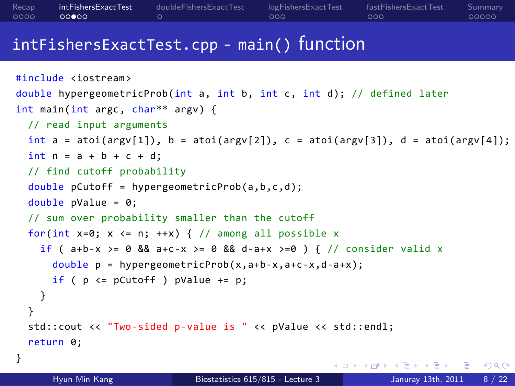#### Recap<br>0000 . . . . . intFishersExactTest . doubleFishersExactTest logFishersExactTest<br>000 fastFishersExactTest<br>000 Summary<br>00000

## intFishersExactTest.cpp - main() function

```
. □ ▶ : ④ ▶ : ミ ▶ : ミ ▶ │ ミ │ つんぴ
#include <iostream>
double hypergeometricProb(int a, int b, int c, int d); // defined later
int main(int argc, char** argv) {
 // read input arguments
 int a = \text{atoi}(\text{argv}[1]), b = \text{atoi}(\text{argv}[2]), c = \text{atoi}(\text{argv}[3]), d = \text{atoi}(\text{argv}[4]);int n = a + b + c + d;
  // find cutoff probability
  double pCutoff = hypergeometricProb(a,b,c,d);
  double pValue = 0;
  // sum over probability smaller than the cutoff
  for(int x=0; x \le n; ++x) { // among all possible xif ( a+b-x >= 0 && a+c-x >= 0 && d-a+x >=0 ) { // consider valid x
      double p = hypergeometricProb(x,a+b-x,a+c-x,d-a+x);
      if ( p \le pCutoff ) pValue += p;
   }
  }
  std::cout << "Two-sided p-value is " << pValue << std::endl;
  return 0;
}
```
Hyun Min Kang Biostatistics 615/815 - Lecture 3 Januray 13th, 2011 8 / 22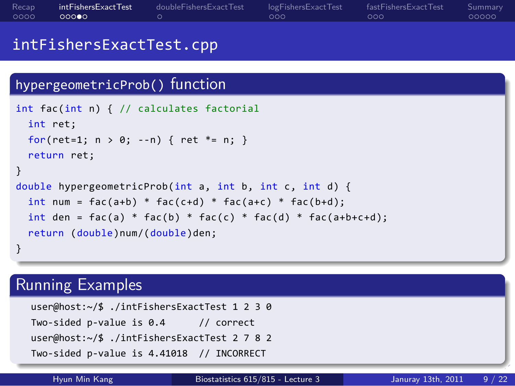| Recap<br>0000                  | intFishersExactTest<br>00000                   | doubleFishersExactTest<br>$\circ$                                                                                                                                                                                                                                       | logFishersExactTest<br>000        | fastFishersExactTest<br>000 | Summary<br>00000 |  |  |
|--------------------------------|------------------------------------------------|-------------------------------------------------------------------------------------------------------------------------------------------------------------------------------------------------------------------------------------------------------------------------|-----------------------------------|-----------------------------|------------------|--|--|
| intFishersExactTest.cpp        |                                                |                                                                                                                                                                                                                                                                         |                                   |                             |                  |  |  |
|                                | hypergeometricProb() function                  |                                                                                                                                                                                                                                                                         |                                   |                             |                  |  |  |
| int ret;<br>$\mathcal{F}$<br>} | return ret;<br>return (double)num/(double)den; | int fac(int n) { // calculates factorial<br>for(ret=1; $n > 0$ ; --n) { ret *= n; }<br>double hypergeometricProb(int a, int b, int c, int d) {<br>$int num = fac(a+b) * fac(c+d) * fac(a+c) * fac(b+d);$<br>int den = fac(a) * fac(b) * fac(c) * fac(d) * fac(a+b+c+d); |                                   |                             |                  |  |  |
|                                | <b>Running Examples</b>                        |                                                                                                                                                                                                                                                                         |                                   |                             |                  |  |  |
|                                |                                                | user@host: $\sim$ /\$ ./intFishersExactTest 1 2 3 0<br>Two-sided p-value is $0.4$ // correct<br>user@host: $\sim$ /\$ ./intFishersExactTest 2 7 8 2<br>Two-sided p-value is 4.41018 // INCORRECT                                                                        |                                   |                             |                  |  |  |
|                                | Hyun Min Kang                                  |                                                                                                                                                                                                                                                                         | Biostatistics 615/815 - Lecture 3 | Januray 13th, 2011          | 9/22             |  |  |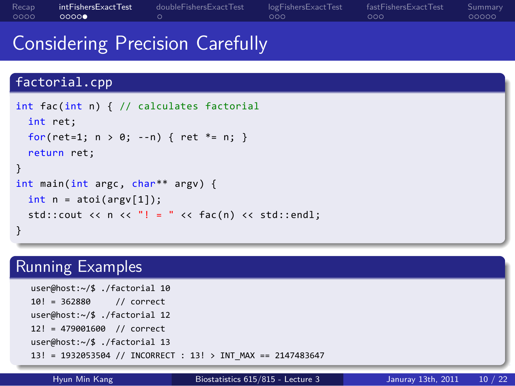#### Recap<br>0000 intFishersExactTest<br>0000● . doubleFishersExactTest logFishersExactTest<br>000 fastFishersExactTest<br>000 Summary<br>00000

## Considering Precision Carefully

### . . . . . . factorial.cpp . } .. . int fac(int n) { // calculates factorial int ret; for(ret=1;  $n > 0$ ; --n) { ret \*= n; } return ret; } int main(int argc, char\*\* argv) { int  $n = \text{atoi}(\text{argv}[1]);$ std::cout << n << "! = " << fac(n) << std::endl; Running Examples .. . 13! = 1932053504 // INCORRECT : 13! > INT\_MAX == 2147483647 user@host:~/\$ ./factorial 10 10! = 362880 // correct user@host:~/\$ ./factorial 12 12! = 479001600 // correct user@host:~/\$ ./factorial 13

Hyun Min Kang Biostatistics 615/815 - Lecture 3 Januray 13th, 2011 10 / 22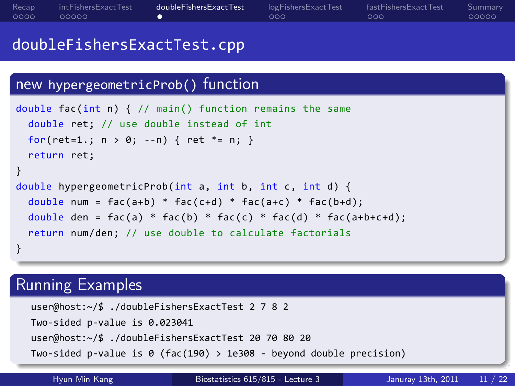| Recap<br>0000                                                                                                                                                                                                                                                         | intFishersExactTest<br>00000  | doubleFishersExactTest<br>۰                                                                                                                                                   | logFishersExactTest<br>ooo        | fastFishersExactTest<br>000 | Summary<br>00000 |  |  |
|-----------------------------------------------------------------------------------------------------------------------------------------------------------------------------------------------------------------------------------------------------------------------|-------------------------------|-------------------------------------------------------------------------------------------------------------------------------------------------------------------------------|-----------------------------------|-----------------------------|------------------|--|--|
| doubleFishersExactTest.cpp                                                                                                                                                                                                                                            |                               |                                                                                                                                                                               |                                   |                             |                  |  |  |
|                                                                                                                                                                                                                                                                       |                               | new hypergeometricProb() function                                                                                                                                             |                                   |                             |                  |  |  |
|                                                                                                                                                                                                                                                                       | return ret;                   | double fac(int n) $\{$ // main() function remains the same<br>double ret; // use double instead of int<br>for(ret=1.; $n > 0$ ; --n) { ret *= n; }                            |                                   |                             |                  |  |  |
| $\mathcal{F}$<br>double hypergeometricProb(int a, int b, int c, int d) {<br>double num = $fac(a+b) * fac(c+d) * fac(a+c) * fac(b+d);$<br>double den = $fac(a) * fac(b) * fac(c) * fac(d) * fac(ab+ct);$<br>return num/den; // use double to calculate factorials<br>} |                               |                                                                                                                                                                               |                                   |                             |                  |  |  |
|                                                                                                                                                                                                                                                                       | <b>Running Examples</b>       |                                                                                                                                                                               |                                   |                             |                  |  |  |
|                                                                                                                                                                                                                                                                       | Two-sided p-value is 0.023041 | user@host:~/\$ ./doubleFishersExactTest 2 7 8 2<br>user@host:~/\$ ./doubleFishersExactTest 20 70 80 20<br>Two-sided p-value is 0 (fac(190) > 1e308 - beyond double precision) |                                   |                             |                  |  |  |
|                                                                                                                                                                                                                                                                       | Hyun Min Kang                 |                                                                                                                                                                               | Biostatistics 615/815 - Lecture 3 | Januray 13th, 2011          | 11 / 22          |  |  |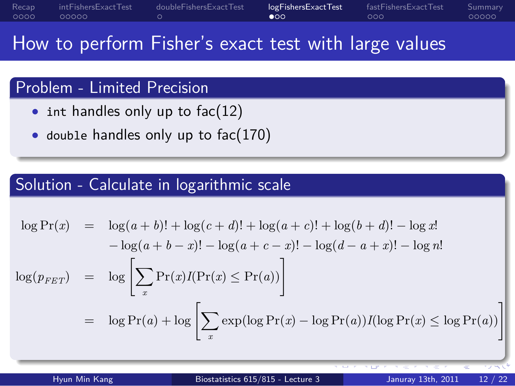#### Recap<br>0000 intFishersExactTest<br>00000 . doubleFishersExactTest logFishersExactTest<br>●00 fastFishersExactTest<br>000 Summary<br>00000

How to perform Fisher's exact test with large values

## Problem - Limited Precision

- int handles only up to fac(12)
- *•* double handles only up to fac(170)

# . Solution - Calculate in logarithmic scale ..

$$
\log \Pr(x) = \log(a+b)! + \log(c+d)! + \log(a+c)! + \log(b+d)! - \log x!
$$
  
\n
$$
-\log(a+b-x)! - \log(a+c-x)! - \log(d-a+x)! - \log n!
$$
  
\n
$$
\log(p_{FET}) = \log \left[ \sum_x \Pr(x) I(\Pr(x) \le \Pr(a)) \right]
$$
  
\n
$$
= \log \Pr(a) + \log \left[ \sum_x \exp(\log \Pr(x) - \log \Pr(a)) I(\log \Pr(x) \le \log \Pr(a)) \right]
$$

Hyun Min Kang Biostatistics 615/815 - Lecture 3 Januray 13th, 2011 12

.. .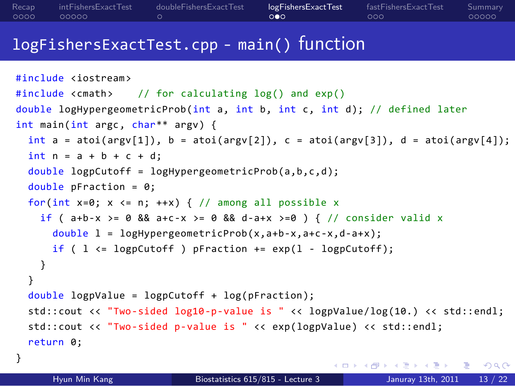#### Recap<br>0000 intFisher<br>00000 . doubleFishersExactTest logFishersExactTest<br>○●○ fastFishersExactTest<br>000 Summary<br>00000

## logFishersExactTest.cpp - main() function

```
. . . . . .
#include <iostream>
#include <cmath> // for calculating log() and exp()
double logHypergeometricProb(int a, int b, int c, int d); // defined later
int main(int argc, char** argv) {
  int a = \text{atoi}(\text{argv}[1]), b = \text{atoi}(\text{argv}[2]), c = \text{atoi}(\text{argv}[3]), d = \text{atoi}(\text{argv}[4]);int n = a + b + c + d;
  double logpCutoff = logHypergeometricProb(a,b,c,d);
  double pFraction = 0;
  for(int x=0; x \le n; ++x) { // among all possible xif ( a+b-x >= 0 && a+c-x >= 0 && d-a+x >=0 ) { // consider valid x
      double l = logHypergeometricProb(x,a+b-x,a+c-x,d-a+x);
      if ( l \leq logpCutoff ) pFraction += exp(1 - logpCutoff);
    }
  }
  double logpValue = logpCutoff + log(pFraction);
  std::cout << "Two-sided log10-p-value is " << logpValue/log(10.) << std::endl;
  std::cout << "Two-sided p-value is " << exp(logpValue) << std::endl;
  return 0;
}
      Hyun Min Kang Biostatistics 615/815 - Lecture 3 Januray 13th, 2011 13 / 22
```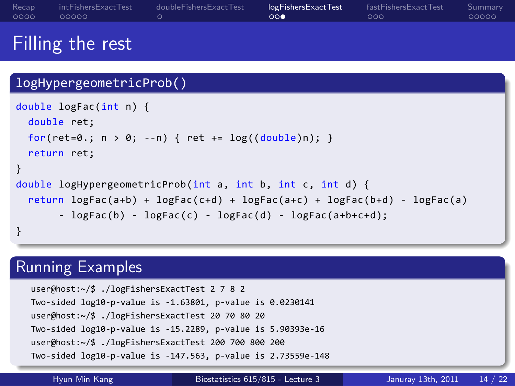### Filling the rest . logHypergeometricProb() .. . } .. . double logFac(int n) { double ret; for(ret=0.;  $n > 0$ ; --n) { ret +=  $log((double)n)$ ; } return ret; } double logHypergeometricProb(int a, int b, int c, int d) { return logFac(a+b) + logFac(c+d) + logFac(a+c) + logFac(b+d) - logFac(a) - logFac(b) - logFac(c) - logFac(d) - logFac(a+b+c+d); Running Examples

logFishersExactTest<br>000

 $.000$ .<br>Fast F

Summary<br>00000

. doubleFishersExactTest

Recap<br>0000

intFishersExactTest<br>00000

. . . . . . .. . user@host:~/\$ ./logFishersExactTest 2 7 8 2 Two-sided log10-p-value is -1.63801, p-value is 0.0230141 user@host:~/\$ ./logFishersExactTest 20 70 80 20 Two-sided log10-p-value is -15.2289, p-value is 5.90393e-16 user@host:~/\$ ./logFishersExactTest 200 700 800 200 Two-sided log10-p-value is -147.563, p-value is 2.73559e-148

Hyun Min Kang Biostatistics 615/815 - Lecture 3 Januray 13th, 2011 14 / 22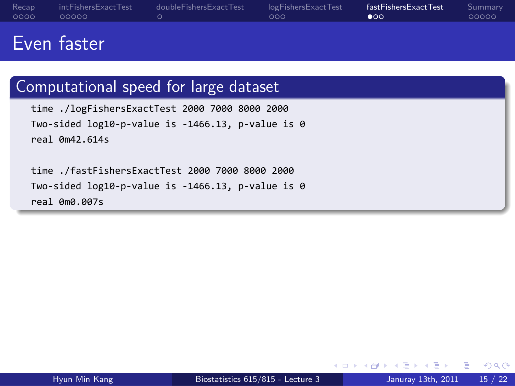#### Recap<br>0000 intFisheı<br>00000 . doubleFishersExactTest logFi:<br>000 fastFishersExactTest<br>●00 Summary<br>00000

## Even faster

# . Computational speed for large dataset ..

time ./logFishersExactTest 2000 7000 8000 2000 Two-sided log10-p-value is -1466.13, p-value is 0 real 0m42.614s

.. . time ./fastFishersExactTest 2000 7000 8000 2000 Two-sided log10-p-value is -1466.13, p-value is 0 real 0m0.007s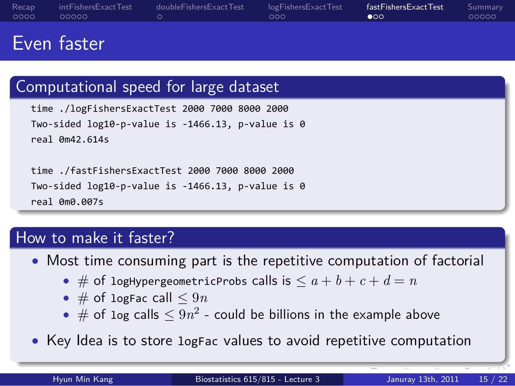#### Recap<br>0000 intFishersExactTest<br>00000 . doubleFishersExactTest logFishersExactTest<br>000 fastFishersExactTest<br>●00 Summary<br>00000

## Even faster

### . Computational speed for large dataset .. .. . time ./logFishersExactTest 2000 7000 8000 2000 Two-sided log10-p-value is -1466.13, p-value is 0 real 0m42.614s time ./fastFishersExactTest 2000 7000 8000 2000 Two-sided log10-p-value is -1466.13, p-value is 0 real 0m0.007s How to make it faster? *•* Most time consuming part is the repetitive computation of factorial • # of logHypergeometricProbs calls is  $\leq a + b + c + d = n$ *•* # of logFac call *≤* 9*n*

- $\bullet$  # of log calls  $\le 9n^2$  could be billions in the example above
- *•* Key Idea is to store logFac values to avoid repetitive computation

. . . . . .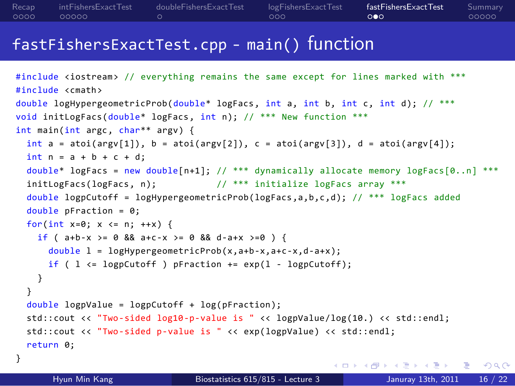#### Recap<br>0000 intFishersExactTest<br>00000 . doubleFishersExactTest logFishersExactTest<br>000 fastFishersExactTest<br>000 Summary<br>00000

## fastFishersExactTest.cpp - main() function

```
. . . . . .
#include <iostream> // everything remains the same except for lines marked with ***
#include <cmath>
double logHypergeometricProb(double* logFacs, int a, int b, int c, int d); // ***
void initLogFacs(double* logFacs, int n); // *** New function ***
int main(int argc, char** argv) {
 int a = \text{atio}(\text{argv}[1]), b = \text{atoi}(\text{argv}[2]), c = \text{atoi}(\text{argv}[3]), d = \text{atoi}(\text{argv}[4]);int n = a + b + c + d;
 double* logFacs = new double[n+1]; // *** dynamically allocate memory logFacs[0..n] ***
  initLogFacs(logFacs, n); \frac{1}{2} // *** initialize logFacs array ***
  double logpCutoff = logHypergeometricProb(logFacs,a,b,c,d); // *** logFacs added
  double pFraction = 0;for(int x=0; x \le n; ++x) {
   if ( a+b-x >= 0 && a+c-x >= 0 && d-a+x >=0 ) {
      double l = logHypergeometricProb(x,a+b-x,a+c-x,d-a+x);
      if ( 1 \leftarrow \text{logpCutoff } ) pFraction += exp(1 - logpCutoff);
   }
  }
  double logpValue = logpCutoff + log(pFraction);
  std::cout << "Two-sided log10-p-value is " << logpValue/log(10.) << std::endl;
  std::cout << "Two-sided p-value is " << exp(logpValue) << std::endl;
  return 0;
}
       Hyun Min Kang Biostatistics 615/815 - Lecture 3 Januray 13th, 2011 16 / 22
```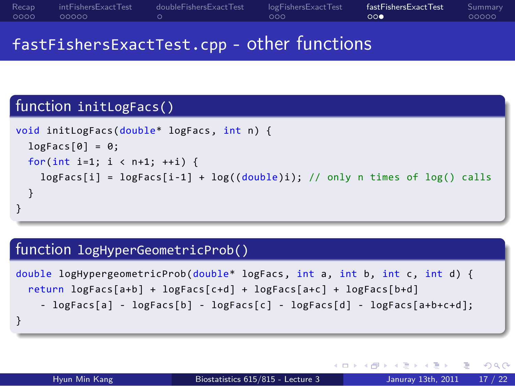### Recap<br>0000 intFishersExactTest<br>00000 . doubleFishersExactTest logFishersExactTest<br>000 fastFishersExactTest<br>000 Summary<br>00000 fastFishersExactTest.cpp - other functions

# function initLogFacs()

. void initLogFacs(double\* logFacs, int n) { logFacs[0] = 0; for(int i=1; i < n+1; ++i) { logFacs[i] = logFacs[i-1] + log((double)i); // only n times of log() calls } }

.. .

# . function logHyperGeometricProb() ..

```
.
}
double logHypergeometricProb(double* logFacs, int a, int b, int c, int d) {
 return logFacs[a+b] + logFacs[c+d] + logFacs[a+c] + logFacs[b+d]
    - logFacs[a] - logFacs[b] - logFacs[c] - logFacs[d] - logFacs[a+b+c+d];
```
.. .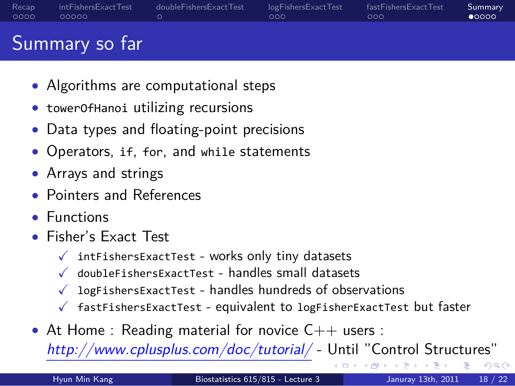#### Recap<br>0000 intFishersExactTest<br>00000  $\frac{1}{\alpha}$ doubleFishersExactTest logFishersExactTest<br>000 fastFishersExactTest<br>000 Summary<br>• 0000

### Summary so far

- *•* Algorithms are computational steps
- *•* towerOfHanoi utilizing recursions
- *•* Data types and floating-point precisions
- *•* Operators, if, for, and while statements
- *•* Arrays and strings
- *•* Pointers and References
- *•* Functions
- *•* Fisher's Exact Test
	- $\checkmark$  intFishersExactTest works only tiny datasets
	- $\checkmark$  doubleFishersExactTest handles small datasets
	- $\checkmark$  logFishersExactTest handles hundreds of observations
	- $\checkmark$  fastFishersExactTest equivalent to logFisherExactTest but faster
- At Home : Reading material for novice C++ users : *http://www.cplusplus.com/doc/tutorial/* - Until "Control Structures"

+ ロ ▶ + 리 ▶ + 로 ▶ + 로 ▶ | 로 | + 9 Q Q Hyun Min Kang Biostatistics 615/815 - Lecture 3 Januray 13th, 2011 18 / 22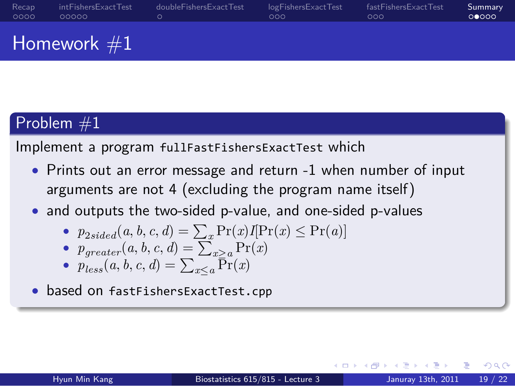#### Recap<br>0000 intFishersExactTest<br>00000  $\frac{1}{\alpha}$ doubleFishersExactTest logFishersExactTest<br>000  $5a$ st $F$ shersExactTes Summary<br>00000

Homework  $#1$ 

# $Problem #1$

Implement a program fullFastFishersExactTest which

*•* Prints out an error message and return -1 when number of input arguments are not 4 (excluding the program name itself)

.. .

- *•* and outputs the two-sided p-value, and one-sided p-values
	- $p_{2sided}(a, b, c, d) = \sum_{x} Pr(x)I[Pr(x) \le Pr(a)]$
	- $p_{greater}(a, b, c, d) = \sum_{x>a}^{x} Pr(x)$
	- $p_{less}(a, b, c, d) = \sum_{x \leq a} \overline{Pr}(x)$
- *•* based on fastFishersExactTest.cpp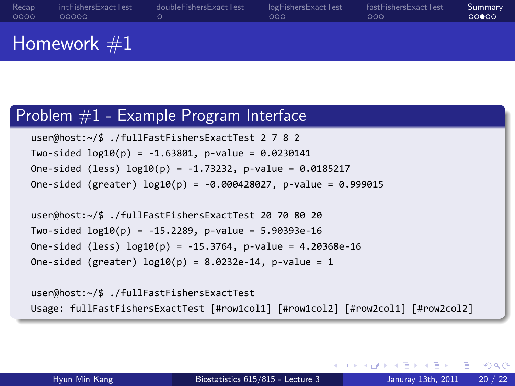#### Recap<br>0000 intFishersExactTest<br>00000 . doubleFishersExactTest logFi<br>000 shersExactTest  $000$ fastFishersExactTest Summary<br>00000

Homework #1

## Problem #1 - Example Program Interface user@host:~/\$ ./fullFastFishersExactTest 2 7 8 2

Two-sided log10(p) = -1.63801, p-value = 0.0230141 One-sided (less) log10(p) = -1.73232, p-value = 0.0185217 One-sided (greater) log10(p) = -0.000428027, p-value = 0.999015

user@host:~/\$ ./fullFastFishersExactTest 20 70 80 20 Two-sided log10(p) = -15.2289, p-value = 5.90393e-16 One-sided (less) log10(p) = -15.3764, p-value = 4.20368e-16 One-sided (greater)  $log10(p) = 8.0232e-14$ , p-value = 1

.. . Usage: fullFastFishersExactTest [#row1col1] [#row1col2] [#row2col1] [#row2col2] user@host:~/\$ ./fullFastFishersExactTest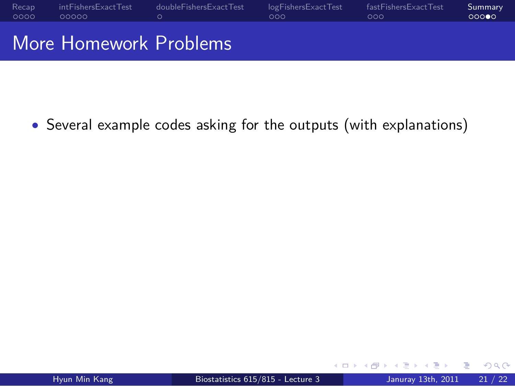

*•* Several example codes asking for the outputs (with explanations)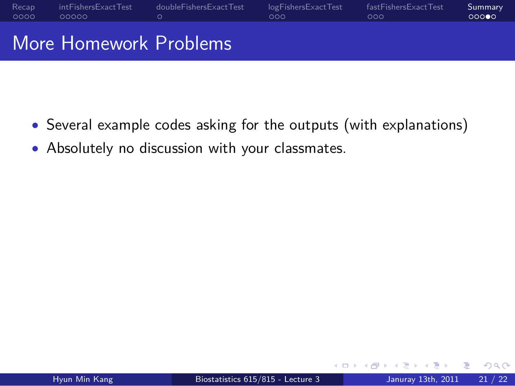

- *•* Several example codes asking for the outputs (with explanations)
- *•* Absolutely no discussion with your classmates.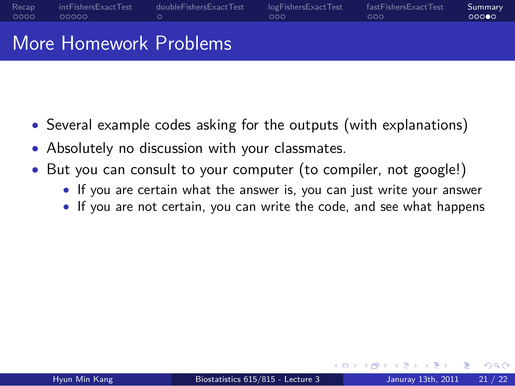#### Recap<br>0000 intFishersExactTest<br>00000  $\frac{1}{\alpha}$ doubleFishersExactTest logFishersExactTest<br>000 fastFishersExactTest<br>000 Summary<br>00000 More Homework Problems

- *•* Several example codes asking for the outputs (with explanations)
- *•* Absolutely no discussion with your classmates.
- *•* But you can consult to your computer (to compiler, not google!)
	- *•* If you are certain what the answer is, you can just write your answer
		- *•* If you are not certain, you can write the code, and see what happens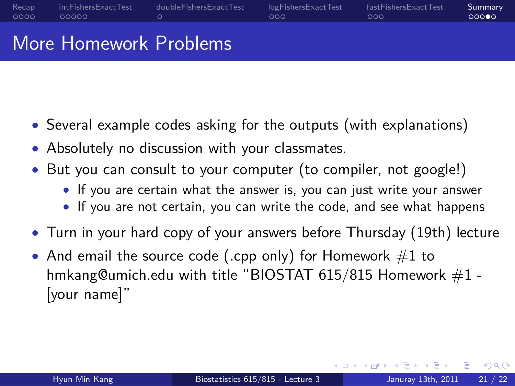#### Recap<br>0000 intFishersExactTest<br>00000 . doubleFishersExactTest logFishersExactTest<br>000 fastFishersExactTest<br>000 Summary<br>00000

More Homework Problems

- *•* Several example codes asking for the outputs (with explanations)
- *•* Absolutely no discussion with your classmates.
- *•* But you can consult to your computer (to compiler, not google!)
	- *•* If you are certain what the answer is, you can just write your answer
		- *•* If you are not certain, you can write the code, and see what happens
- *•* Turn in your hard copy of your answers before Thursday (19th) lecture
- And email the source code (.cpp only) for Homework #1 to hmkang@umich.edu with title "BIOSTAT 615/815 Homework  $#1$  -[your name]"